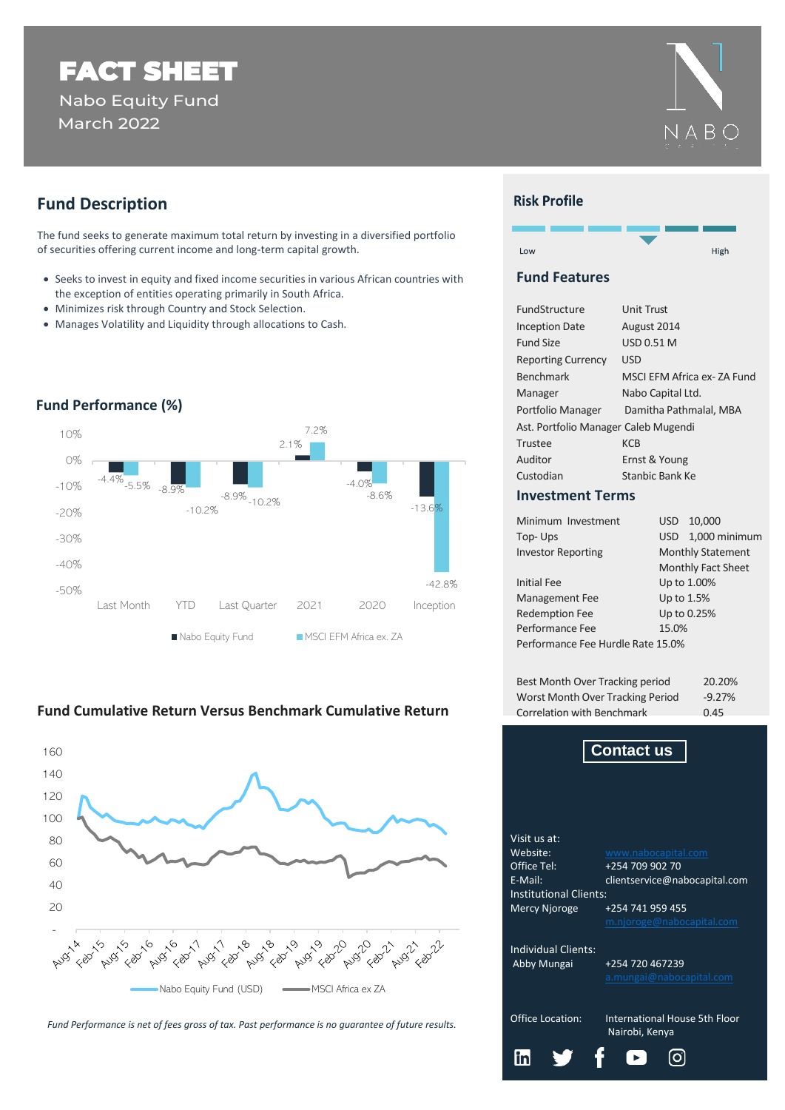# FACT SHEET Nabo Equity Fund March 2022



The fund seeks to generate maximum total return by investing in a diversified portfolio of securities offering current income and long-term capital growth.

- Seeks to invest in equity and fixed income securities in various African countries with the exception of entities operating primarily in South Africa.
- Minimizes risk through Country and Stock Selection.
- Manages Volatility and Liquidity through allocations to Cash.



## **Fund Performance (%)**

# **Fund Cumulative Return Versus Benchmark Cumulative Return**



*Fund Performance is net of fees gross of tax. Past performance is no guarantee of future results.*



## **Risk Profile**



#### **Fund Features**

| FundStructure                        | <b>Unit Trust</b>          |  |  |  |  |  |
|--------------------------------------|----------------------------|--|--|--|--|--|
| <b>Inception Date</b>                | August 2014                |  |  |  |  |  |
| <b>Fund Size</b>                     | USD 0.51 M                 |  |  |  |  |  |
| <b>Reporting Currency</b>            | USD                        |  |  |  |  |  |
| <b>Benchmark</b>                     | MSCI EFM Africa ex-ZA Fund |  |  |  |  |  |
| Manager                              | Nabo Capital Ltd.          |  |  |  |  |  |
| Portfolio Manager                    | Damitha Pathmalal, MBA     |  |  |  |  |  |
| Ast. Portfolio Manager Caleb Mugendi |                            |  |  |  |  |  |
| Trustee                              | KCB                        |  |  |  |  |  |
| Auditor                              | Ernst & Young              |  |  |  |  |  |
| Custodian                            | Stanbic Bank Ke            |  |  |  |  |  |

#### **Investment Terms**

| Minimum Investment                | USD.                     | 10,000             |  |  |  |  |  |
|-----------------------------------|--------------------------|--------------------|--|--|--|--|--|
| Top-Ups                           | USD                      | 1,000 minimum      |  |  |  |  |  |
| <b>Investor Reporting</b>         | <b>Monthly Statement</b> |                    |  |  |  |  |  |
|                                   |                          | Monthly Fact Sheet |  |  |  |  |  |
| <b>Initial Fee</b>                |                          | Up to 1.00%        |  |  |  |  |  |
| <b>Management Fee</b>             | Up to 1.5%               |                    |  |  |  |  |  |
| <b>Redemption Fee</b>             |                          | Up to 0.25%        |  |  |  |  |  |
| Performance Fee                   | 15.0%                    |                    |  |  |  |  |  |
| Performance Fee Hurdle Rate 15.0% |                          |                    |  |  |  |  |  |
|                                   |                          |                    |  |  |  |  |  |

| Best Month Over Tracking period  | 20.20%   |  |  |
|----------------------------------|----------|--|--|
| Worst Month Over Tracking Period | $-9.27%$ |  |  |
| Correlation with Benchmark       | 0.45     |  |  |